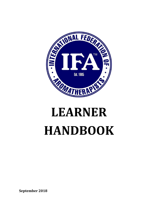

# **LEARNER HANDBOOK**

**September 2018**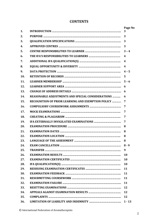# **CONTENTS**

| 1.  |                                                                                                         | Page No<br>3            |
|-----|---------------------------------------------------------------------------------------------------------|-------------------------|
| 2.  |                                                                                                         | 3                       |
| 3.  |                                                                                                         | 3                       |
| 4.  |                                                                                                         | 3                       |
| 5.  |                                                                                                         | $3 - 4$                 |
| 6.  |                                                                                                         | $\overline{\mathbf{4}}$ |
| 7.  |                                                                                                         | 4                       |
| 8.  |                                                                                                         | $\overline{\mathbf{4}}$ |
| 9.  |                                                                                                         | $4 - 5$                 |
| 10. |                                                                                                         | 5                       |
| 11. |                                                                                                         | $5 - 6$                 |
| 12. |                                                                                                         | 6                       |
| 13. |                                                                                                         | 6                       |
| 14. |                                                                                                         |                         |
|     | REASONABLE ADJUSTMENTS AND SPECIAL CONSIDERATIONS<br>RECOGNITION OF PRIOR LEARNING AND EXEMPTION POLICY | 6                       |
| 15. |                                                                                                         | 7                       |
| 16. |                                                                                                         | 7                       |
| 17. |                                                                                                         | 7                       |
| 18. |                                                                                                         | 7                       |
| 19. |                                                                                                         | 7                       |
| 20. |                                                                                                         | 8                       |
| 21. |                                                                                                         | 8                       |
| 22. |                                                                                                         | 8                       |
| 23. |                                                                                                         | 8                       |
| 24. |                                                                                                         | 8 - 9                   |
| 25. |                                                                                                         | 9                       |
| 26. |                                                                                                         | <b>10</b>               |
| 27. |                                                                                                         | 10                      |
| 28. |                                                                                                         | 10                      |
| 29. |                                                                                                         | 11                      |
| 30. |                                                                                                         | 11                      |
| 31. |                                                                                                         | 11                      |
| 32. |                                                                                                         | 11                      |
| 33. |                                                                                                         | 12                      |
| 34. |                                                                                                         | 12                      |
| 35. |                                                                                                         | 12                      |
| 36. |                                                                                                         | $1 - 13$                |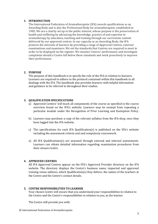# **1. INTRODUCTION**

The International Federation of Aromatherapists (IFA) awards qualifications as an Awarding Body and is also the Professional Body for aromatherapists, established in 1985. We are a charity set up in the public interest, whose purpose is the preservation of health and wellbeing by advancing the knowledge, practice of and expertise in aromatherapy by education, teaching and training through our curriculum content delivered by our approved centres. In our capacity as an Awarding Body, the IFA protects the interests of learners by providing a range of Approved Centres, external examinations and examiners. We set the standards that Centres are required to meet in order to be displayed on the register. We monitor Centres' performance and investigate complaints should a Centre fall below those standards and work proactively to improve their performance.

# **2. PURPOSE**

The purpose of this handbook is to specify the role of the IFA in relation to learners. Learners are required to adhere to the protocol contained within this handbook in all dealings with the IFA. The handbook also provides learners with helpful information and guidance to be referred to throughout their studies.

# **3. QUALIFICATION SPECIFICATIONS**

- a) Approved Centres' will teach all components of the course as specified in the course overview found on the IFA's website. Learners may be exempt from repeating a particular module under the Recognition of Prior Learning and Exemption Policy.
- b) Learners may purchase a copy of the relevant syllabus from the IFA shop, once they have logged into the IFA website.
- c) The specifications for each IFA Qualification(s) is published on the IFA's website including the assessment criteria and and compulsory coursework.
- a) All IFA Qualifications(s) are assessed through external and internal assessments. Learners can obtain detailed information regarding examination procedures from their chosen Centre.

# **4. APPROVED CENTRES**

All IFA Approved Centres appear on the IFA's Approved Provider directory on the IFA website. The directory displays the Centre's business name, inspected and approved training venue address, which Qualification(s) they deliver, the names of the teachers at the Centre and the Centre's contact details.

#### **5. CENTRE RESPONSIBILITIES TO LEARNER**

Your chosen Centre will ensure that you understand your responsibilities in relation to the Centre and the Centre's responsibilities in relation to you, as the learner.

The Centre will provide you with: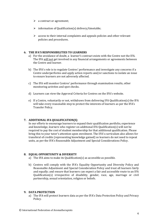- $\triangleright$  a contract or agreement;
- ➢ information of Qualification(s) delivery/timetable;
- $\triangleright$  access to their internal complaints and appeals policies and other relevant policies and procedures.

# **6. THE IFA'S RESPONSIBILITIES TO LEARNERS**

- a) For the avoidance of doubt, a learner's contract exists with the Centre not the IFA. The IFA will not get involved in any financial arrangements or agreements between the Centre and learner.
- b) The IFA's role is to regulate Centres' performance and investigate any concerns if a Centre underperforms and apply action reports and/or sanctions to isolate an issue to ensure learners are not adversely affected.
- c) The IFA will monitor Centres' performance through examination results, other monitoring activites and spot checks.
- d) Learners can view the Approval Criteria for Centres on the IFA's website.
- e) If a Centre, voluntarily or not, withdraws from delivering IFA Qualification(s) the IFA will take every reasonable step to protect the interests of learners as per the IFA's Transfer Policy.

# **7. ADDITIONAL IFA QUALIFICATION(S)**

In our efforts to encourage learners to expand their qualification portfolio, experience and knowledge, learners who register on additional IFA Qualification(s) will not be required to pay the cost of student membership for that additional qualification. Please bring this to your tutor's attention upon enrolment. The IFA's curriculum also allows for transferal of credits (representing knowledge gained) so learners do not need to repeat units, as per the IFA's Reasonable Adjustment and Special Considerations Policy.

#### **8. EQUAL OPPORTUNITY & DIVERSITY**

- a) The IFA aims to make its Qualification(s) as accessible as possible.
- b) Centres will comply with the IFA's Equality Opportunity and Diversity Policy and Reasonable Adjustment and Special Consideration Policy and treat all learners fairly and equally; and ensure that learners can expect a fair and accessible route to an IFA Qualification(s) irrespective of disability, gender, race, age, marriage or civil partnership, sexual orientation, religion or beliefs.

#### **9. DATA PROTECTION**

a) The IFA will protect learners data as per the IFA's Data Protection Policy and Privacy Policy.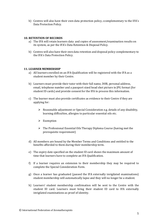b) Centres will also have their own data protection policy, ccomplementary to the IFA's Data Protection Policy.

# **10. RETENTION OF RECORDS**

- a) The IFA will retain learners data and copies of assessment/examination results on its system, as per the IFA's Data Retention & Disposal Policy.
- b) Centres will also have their own data retention and disposal policy complementary to the IFA's Data Protection Policy.

# **11. LEARNER MEMBERSHIP**

- a) All learners enrolled on an IFA Qualification will be registered with the IFA as a student member by their Centre.
- b) Learners must provide their tutor with their full name, DOB, personal address, email, telephone number and a passport sized head shot picture in JPG format (for student ID cards) and provide consent for the IFA to process this information.
- c) The learner must also provide certificates as evidence to their Centre if they are applying for:
	- $\triangleright$  Reasonable adjustment or Special Consideration e.g. details of any disability, learning difficulties, allergies to particular essential oils etc.
	- ➢ Exemption
	- ➢ The Professional Essential Oils Therapy Diploma Course (having met the prerequisite requirement)
- d) All members are bound by the Member Terms and Conditions and entitled to the benefits afforded to them during their membership term.
- e) The expiry date specified on the student ID card shows the maximum amount of time that learners have to complete an IFA Qualification.
- f) If a learner requires an extension to their membership they may be required to complete the Special Consideration Form.
- g) Once a learner has graduated (passed the IFA externally invigilated examinations) student membership will automatically lapse and they will no longer be a student.
- h) Learners' student membership confirmation will be sent to the Centre with the student ID card. Learners must bring their student ID card to IFA externally invigilated examinations as proof of identity.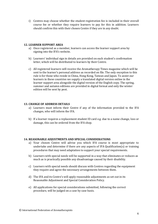i) Centres may choose whether the student registration fee is included in their overall course fee or whether they require learners to pay for this in addition. Learners should confirm this with their chosen Centre if they are in any doubt.

# **12. LEARNER SUPPORT AREA**

- a) Once registered as a member, learners can access the learner support area by signing into the IFA's website.
- b) Learners' individual sign in details are provided on each student's confirmation letter, which will be distributed to learners by their Centre.
- c) All registered learners will receive the Aromatherapy Times magazine which will be sent to the learner's personal address as recorded on file. The only exception to this rule is for those who reside in China, Hong Kong, Taiwan and Japan. To assist our learners in these countries we supply a translated digital version online in the learner support area alongside the digital version of the English copy. The spring, summer and autumn editions are provided in digital format and only the winter edition will be sent by post.

# **13. CHANGE OF ADDRESS DETAILS**

- a) Learners must inform their Centre if any of the information provided to the IFA changes, who will inform the IFA.
- b) If a learner requires a replacement student ID card e.g. due to a name change, loss or damage, this can be ordered from the IFA shop.

#### **14. REASONABLE ADJUSTMENTS AND SPECIAL CONSIDERATIONS**

- a) Your chosen Centre will advise you which IFA course is most appropriate to undertake and determine if there are any aspects of IFA Qualification(s) or training procedures that may need adaptation to support your special requirements.
- b) Learners with special needs will be supported in a way that eliminates or reduces as much as is practically possible any disadvantage caused by their disability.
- c) Learners with special needs should discuss with Centres regarding the equipment they require and agree the necessary arrangements between them.
- d) The IFA and its Centre's will apply reasonable adjustments as set out in its Reasonable Adjustment and Special Consideration Policy.
- e) All applications for special considerations submitted, following the correct procedure, will be judged on a case by case basis.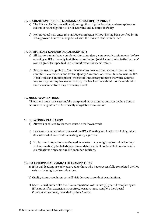# **15. RECOGNITION OF PRIOR LEARNING AND EXEMPTION POLICY**

- a) The IFA and its Centres will apply recognition of prior learning and exemptions as set out in its Recognition of Prior Learning and Exemption Policy.
- b) No individual may enter into an IFA examination without having been verified by an IFA approved Centre and registered with the IFA as a student member.

# **16. COMPULSORY COURSEWORK ASSIGNMENTS**

- a) All learners must have completed the compulsory coursework assignments before entering an IFA externally invigilated examination (which contributes to the learners' overall grade) as specified in the Qualification(s) specifications.
- b) Penalty fees are applied to Centres who enter learners into examinations without completed coursework and for the Quality Assurance Assessors time to visit the IFA Head Office and an interpreter/translator if necessary to mark the work. Centres may or may not require learners to pay this fee. Learners should confirm this with their chosen Centre if they are in any doubt.

# **17. MOCK EXAMINATIONS**

All learners must have successfully completed mock examinations set by their Centre before entering into an IFA externally invigilated examination.

#### **18. CHEATING & PLAGIARISM**

- a) All work produced by learners must be their own work.
- b) Learners are required to have read the IFA's Cheating and Plagiarism Policy, which describes what constitutes cheating and plagiarism.
- c) If a learner is found to have cheated in an externally invigilated examination they will automatically be failed/paper invalidated and will not be able to re-enter into examinations or become an IFA member in future.

#### **19. IFA EXTERNALLY INVIGILATED EXAMINATIONS**

- a) IFA qualifications are only awarded to those who have successfully completed the IFA externally invigilated examinations.
- b) Quality Assurance Assessors will visit Centres to conduct examinations.
- c) Learners will undertake the IFA examinations within one (1) year of completing an IFA course. If an extension is required, learners must complete the Special Considerations Form, provided by their Centre.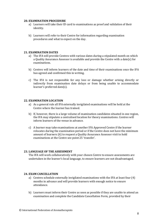#### **20. EXAMINATION PROCEDURE**

- a) Learners will take their ID card to examinations as proof and validation of their identity.
- b) Learners will refer to their Centre for information regarding examination procedures and what to expect on the day.

# **21. EXAMINATION DATES**

- a) The IFA will provide Centres with various dates during a stipulated month on which a Quality Assurance Assessor is available and provide the Centre with a date(s) for examinations.
- b) Centres will inform learners of the date and time of their examinations once the IFA has agreed and confirmed this in writing.
- c) The IFA is not responsible for any loss or damage whether arising directly or indirectly from examination date delays or from being unable to accommodate learner's preferred date(s).

# **22. EXAMINATION LOCATION**

- a) As a general rule all IFA externally invigilated examinations will be held at the Centre where the learner has trained.
- b) If, however, there is a large volume of examination candidates situated in one region, the IFA may stipulate a centralised location for theory examinations. Centres will inform learners of the venue in advance.
- c) A learner may take examinations at another IFA Approved Centre if the learner relocates during the examination period or if the Centre does not have the minimum amount of learners (6) to request a Quality Assurance Assessor visit to hold examinations at the Centre see point 25 'transfer'.

# **23. LANGUAGE OF THE ASSESSMENT**

The IFA will work collaboratively with your chosen Centre to ensure assessments are undertaken in the learner's local language, to ensure learners are not disadvantaged.

# **24. EXAM CANCELLATION**

- a) Centres schedule externally invigilated examinations with the IFA at least four (4) months in advance and will provide learners with enough notice to ensure attendance.
- b) Learners must inform their Centre as soon as possible if they are unable to attend an examination and complete the Candidate Cancellation Form, provided by their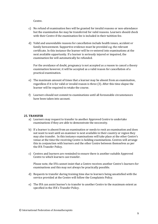Centre.

- c) No refund of examination fees will be granted for invalid reasons or non-attendance but the examination fee may be transferred for valid reasons. Learners should check with their Centre if the examination fee is included in their tuitition fee.
- d) Valid and unavoidable reasons for cancellation include health issues, accident or family bereavement. Supportive evidence must be provided e.g. the relevant certificate. In this instance the learner will be re-entered into examinations at the next available opportunity. If a learner is seriously injured or impaired, the examination fee will automatically be refunded.

For the avoidance of doubt, pregnancy is not accepted as a reason to cancel a theory examination however, it will be accepted as a valid reason for cancellation of a practical examination.

- e) The maximum amount of times that a learner may be absent from an examination, regardless if it is for valid or invalid reason is three (3). After this time elapse the learner will be required to retake the course.
- f) Learners should not commit to examinations until all foreseeable circumstances have been taken into account.

#### **25. TRANSFER**

- a) Learners may request to transfer to another Approved Centre to undertake examinations if they are able to demonstrate the neccessity.
- b) If a learner is absent from an examination or needs to resit an examination and does not want to wait until an examiner is next available in their country or region they may also transfer. In this instance examinations will take place at the other Centre's venue at the time the receiving Centre is holding examinations. Centres will arrange this in conjunction with learners and the other Centre between themselves as per the IFA Transfer Policy.
- c) Centres and learners are reminded to ensure there is another suitable Approved Centre to which learners can transfer.

Please note, the IFA cannot insist that a Centre receives another Centre's learners for examinations and this may not always be practically possible.

- d) Requests to transfer during training time due to learners being unsatisfied with the service provided at the Centre will follow the Complaints Policy.
- e) The IFA can assist learner's to transfer to another Centre to the maximum extent as specified in the IFA's Transfer Policy.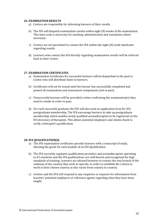#### **26. EXAMINATION RESULTS**

- a) Centres are responsible for informing learners of their results.
- b) The IFA will dispatch examination results within eight (8) weeks of the examination. This time scale is necessary for marking, administration and translation where necessary.
- c) Centres are not permitted to contact the IFA within the eight (8) week timeframe regarding results.
- d) Learners who contact the IFA directly regarding examination results will be referred back to their Centre.

# **27. EXAMINATION CERTIFICATES**

- a) Examination Certificates for successful learners will be dispatched in the post to Centre who will distribute them to learners.
- b) Certificates will not be issued until the learner has successfully completed and passed all examination and assessment components (not in part).
- c) Unsuccessful learners will be provided a letter confirming the examination(s) they need to retake in order to pass.
- d) For each successful graduate the IFA will also send an application form for IFA postgraduate membership. The IFA encourage learners to take up postgraduate membership which enables newly qualified aromatherapists to be registered on the IFA directory of therapists. This allows potential employers and clients check to verify a therapist's qualification.

# **28. IFA QUALIFICATION(S)**

- a) The IFA examination certificates provide learners with a transcript of study, showing the grade for each module of an IFA Qualification.
- b) The IFA currently regulates qualification providers and aromatherapists operating in 43 countries and the IFA qualifications are well known and recognised for high standards of training. Learners are advised however to contact the visa branch of the embassy of the country they wish to operate, in order to establish the criteria to work in their chosen country as this varies from country to country.
- c) Centres and the IFA will respond to any enquiries or requests for information from learners' potential employers or reference agents regarding what they have been taught.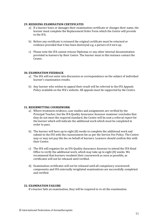#### **29. REISSUING EXAMINATION CERTIFICATES**

- a) If a learner loses or damages their examination certificate or changes their name, the learner must complete the Replacement Order Form which the Centre will provide to the IFA.
- b) Before any certificate is reissued the original certificate must be returned or evidence provided that it has been destroyed e.g. a picture of it torn up.
- c) Please note the IFA cannot reissue Diplomas or any other internal documentation provided to learners by their Centre. The learner must in this instance contact the Centre.

# **30. EXAMINATION FEEDBACK**

- a) The IFA will not enter into discussion or correspondence on the subject of individual learner's examination results.
- b) Any learner who wishes to appeal their result will be referred to the IFA Appeals Policy available on the IFA's website. All appeals must be supported by the Centre.

# **31. RESUBMITTING COURSEWORK**

- a) Where treatment evidence, case studies and assignments are verified by the Principal Teacher, but the IFA Quality Assurance Assessor examiner concludes that they do not meet the required standard, the Centre will be sent a referral report for the learner which will indicate the additional work which must be completed in order to pass.
- b) The learner will have up to eight (8) weeks to complete the additional work and submit to the IFA with the reassessment fee as per the Service Fee Policy. The Centre may or may not pay this fee on behalf of learners. Learners should confirm this with their Centre.
- c) The IFA will organise for an IFA Quality Assurance Assessor to attend the IFA Head Office to verify the additional work, which may take up to eight (8) weeks. We recommend that learners resubmit their coursework as soon as possible, as certificates will not be released until verified.
- d) Examination certificates will not be released until all compulsory coursework components and IFA externally invigilated examinations are successfully completed and verified.

#### **32. EXAMINATION FAILURE**

If a learner fails an examination, they will be required to re-sit the examination.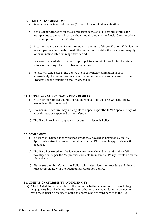#### **33. RESITTING EXAMINATIONS**

- a) Re-sits must be taken within one (1) year of the original examination.
- b) If the learner cannot re-sit the examination in the one (1) year time frame, for example due to a medical reason, they should complete the Special Considerations Form and provide to their Centre.
- c) A learner may re-sit an IFA examination a maximum of three (3) times. If the learner has not passes after the third resit, the learner must retake the course and reapply for examination after the respective period.
- d) Learners are reminded to leave an appropriate amount of time for further study before re-entering a learner into examinations.
- e) Re-sits will take place at the Centre's next convened examination date or alternatively the learner may transfer to another Centre in accordance with the Transfer Policy available on the IFA's website.

# **34. APPEALING AGAINST EXAMINATION RESULTS**

- a) A learner may appeal thier examination result as per the IFA's Appeals Policy, available on the IFA website.
- b) Learners must ensure they are eligible to appeal as per the IFA's Appeals Policy. All appeals must be supported by their Centre.
- c) The IFA will review all appeals as set out in its Appeals Policy.

#### **35. COMPLAINTS**

- a) If a learner is dissatisfied with the service they have been provided by an IFA Approved Centre, the learner should inform the IFA, to enable appropriate action to be taken.
- b) The IFA takes complaints by learners very seriously and will undertake a full investigation, as per the Malpractice and Maladministration Policy - available on the IFA website.
- c) Please see the IFA's Complaints Policy, which describes the procedure to follow to raise a complaint with the IFA about an Approved Centre.

#### **36. LIMITATION OF LIABILITY AND INDEMNITY**

a) The IFA shall have no liability to the learner, whether in contract, tort (including negligence), breach of statutory duty, or otherwise arising under or in connection with the learner's agreement with the Centre who are third parties to the IFA.